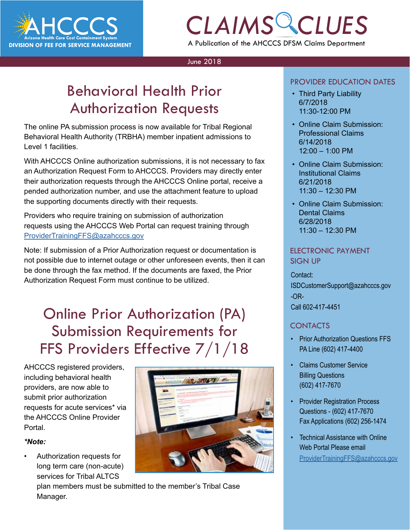

## *CLAIMS CLUES* A Publication of the AHCCCS DFSM Claims Department

#### June 2018

### Behavioral Health Prior Authorization Requests

The online PA submission process is now available for Tribal Regional Behavioral Health Authority (TRBHA) member inpatient admissions to Level 1 facilities.

With AHCCCS Online authorization submissions, it is not necessary to fax an Authorization Request Form to AHCCCS. Providers may directly enter their authorization requests through the AHCCCS Online portal, receive a pended authorization number, and use the attachment feature to upload the supporting documents directly with their requests.

Providers who require training on submission of authorization requests using the AHCCCS Web Portal can request training through [ProviderTrainingFFS@azahcccs.gov](mailto:ProviderTrainingFFS%40azahcccs.gov?subject=Behavioral%20Health%20Prior%20Authorization%20Requests)

Note: If submission of a Prior Authorization request or documentation is not possible due to internet outage or other unforeseen events, then it can be done through the fax method. If the documents are faxed, the Prior Authorization Request Form must continue to be utilized.

## Online Prior Authorization (PA) Submission Requirements for FFS Providers Effective 7/1/18

AHCCCS registered providers, including behavioral health providers, are now able to submit prior authorization requests for acute services\* via the AHCCCS Online Provider Portal.

#### *\*Note:*

• Authorization requests for long term care (non-acute) services for Tribal ALTCS



plan members must be submitted to the member's Tribal Case Manager.

#### PROVIDER EDUCATION DATES

- *COVIDER EDUCATION DATES*<br> *CHAIMS CRIP*<br> *CALAIMS* 6/7/2018 • Third Party Liability 6/7/2018 11:30-12:00 PM
	- Online Claim Submission: Professional Claims 6/14/2018 12:00 – 1:00 PM
	- Online Claim Submission: Institutional Claims 6/21/2018 11:30 – 12:30 PM
	- Online Claim Submission: Dental Claims 6/28/2018 11:30 – 12:30 PM

#### ELECTRONIC PAYMENT SIGN UP

Contact: ISDCustomerSupport@azahcccs.gov -OR-Call 602-417-4451

### **CONTACTS**

- Prior Authorization Questions FFS PA Line (602) 417-4400
- Claims Customer Service Billing Questions (602) 417-7670
- Provider Registration Process Questions - (602) 417-7670 Fax Applications (602) 256-1474
- Technical Assistance with Online Web Portal Please email [ProviderTrainingFFS@azahcccs.gov](mailto:ProviderTrainingFFS%40azahcccs.gov%20?subject=Tech%20Support)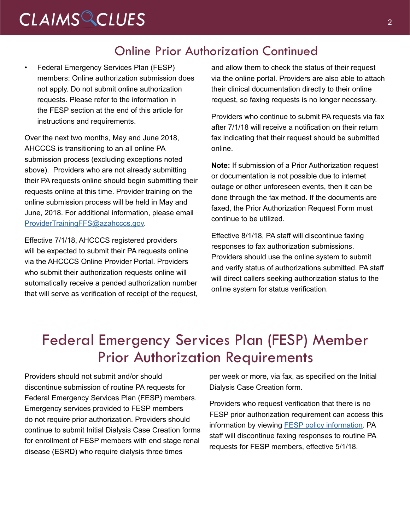## *CLAIMS CLUES* <sup>2</sup>

### Online Prior Authorization Continued

• Federal Emergency Services Plan (FESP) members: Online authorization submission does not apply. Do not submit online authorization requests. Please refer to the information in the FESP section at the end of this article for instructions and requirements.

Over the next two months, May and June 2018, AHCCCS is transitioning to an all online PA submission process (excluding exceptions noted above). Providers who are not already submitting their PA requests online should begin submitting their requests online at this time. Provider training on the online submission process will be held in May and June, 2018. For additional information, please email [ProviderTrainingFFS@azahcccs.gov.](mailto:ProviderTrainingFFS%40azahcccs.gov?subject=Online%20Prior%20Authorization)

Effective 7/1/18, AHCCCS registered providers will be expected to submit their PA requests online via the AHCCCS Online Provider Portal. Providers who submit their authorization requests online will automatically receive a pended authorization number that will serve as verification of receipt of the request,

and allow them to check the status of their request via the online portal. Providers are also able to attach their clinical documentation directly to their online request, so faxing requests is no longer necessary.

Providers who continue to submit PA requests via fax after 7/1/18 will receive a notification on their return fax indicating that their request should be submitted online.

**Note:** If submission of a Prior Authorization request or documentation is not possible due to internet outage or other unforeseen events, then it can be done through the fax method. If the documents are faxed, the Prior Authorization Request Form must continue to be utilized.

Effective 8/1/18, PA staff will discontinue faxing responses to fax authorization submissions. Providers should use the online system to submit and verify status of authorizations submitted. PA staff will direct callers seeking authorization status to the online system for status verification.

### Federal Emergency Services Plan (FESP) Member Prior Authorization Requirements

Providers should not submit and/or should discontinue submission of routine PA requests for Federal Emergency Services Plan (FESP) members. Emergency services provided to FESP members do not require prior authorization. Providers should continue to submit Initial Dialysis Case Creation forms for enrollment of FESP members with end stage renal disease (ESRD) who require dialysis three times

per week or more, via fax, as specified on the Initial Dialysis Case Creation form.

Providers who request verification that there is no FESP prior authorization requirement can access this information by viewing [FESP policy information.](https://www.azahcccs.gov/shared/Downloads/MedicalPolicyManual/Chap1100.pdf) PA staff will discontinue faxing responses to routine PA requests for FESP members, effective 5/1/18.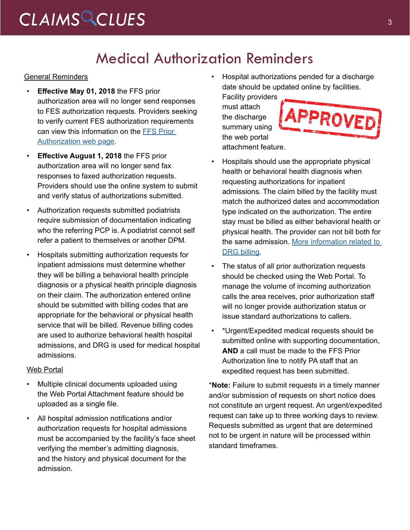# CLAIMS CLUES<sup>3</sup>

### Medical Authorization Reminders

#### **General Reminders**

- **Effective May 01, 2018** the FFS prior authorization area will no longer send responses to FES authorization requests. Providers seeking to verify current FES authorization requirements can view this information on the [FFS Prior](https://www.azahcccs.gov/PlansProviders/FeeForServiceHealthPlans/PriorAuthorization/requirements.html)  [Authorization web page.](https://www.azahcccs.gov/PlansProviders/FeeForServiceHealthPlans/PriorAuthorization/requirements.html)
- **Effective August 1, 2018** the FFS prior authorization area will no longer send fax responses to faxed authorization requests. Providers should use the online system to submit and verify status of authorizations submitted.
- Authorization requests submitted podiatrists require submission of documentation indicating who the referring PCP is. A podiatrist cannot self refer a patient to themselves or another DPM.
- Hospitals submitting authorization requests for inpatient admissions must determine whether they will be billing a behavioral health principle diagnosis or a physical health principle diagnosis on their claim. The authorization entered online should be submitted with billing codes that are appropriate for the behavioral or physical health service that will be billed. Revenue billing codes are used to authorize behavioral health hospital admissions, and DRG is used for medical hospital admissions.

#### Web Portal

- Multiple clinical documents uploaded using the Web Portal Attachment feature should be uploaded as a single file.
- All hospital admission notifications and/or authorization requests for hospital admissions must be accompanied by the facility's face sheet verifying the member's admitting diagnosis, and the history and physical document for the admission.

• Hospital authorizations pended for a discharge date should be updated online by facilities.

Facility providers must attach the discharge summary using the web portal attachment feature.



- Hospitals should use the appropriate physical health or behavioral health diagnosis when requesting authorizations for inpatient admissions. The claim billed by the facility must match the authorized dates and accommodation type indicated on the authorization. The entire stay must be billed as either behavioral health or physical health. The provider can not bill both for the same admission. [More information related to](https://www.azahcccs.gov/PlansProviders/RatesAndBilling/ManagedCare/DRGbasedpayments.html)  [DRG billing.](https://www.azahcccs.gov/PlansProviders/RatesAndBilling/ManagedCare/DRGbasedpayments.html)
- The status of all prior authorization requests should be checked using the Web Portal. To manage the volume of incoming authorization calls the area receives, prior authorization staff will no longer provide authorization status or issue standard authorizations to callers.
- \*Urgent/Expedited medical requests should be submitted online with supporting documentation, **AND** a call must be made to the FFS Prior Authorization line to notify PA staff that an expedited request has been submitted.

\***Note:** Failure to submit requests in a timely manner and/or submission of requests on short notice does not constitute an urgent request. An urgent/expedited request can take up to three working days to review. Requests submitted as urgent that are determined not to be urgent in nature will be processed within standard timeframes.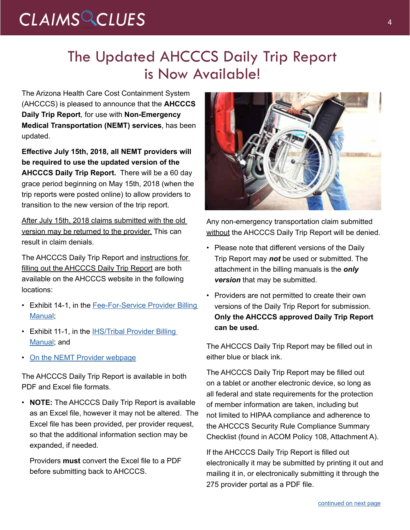# *CLAIMS CLUES* <sup>4</sup>

### The Updated AHCCCS Daily Trip Report is Now Available!

The Arizona Health Care Cost Containment System (AHCCCS) is pleased to announce that the **AHCCCS Daily Trip Report**, for use with **Non-Emergency Medical Transportation (NEMT) services**, has been updated.

**Effective July 15th, 2018, all NEMT providers will be required to use the updated version of the AHCCCS Daily Trip Report.** There will be a 60 day grace period beginning on May 15th, 2018 (when the trip reports were posted online) to allow providers to transition to the new version of the trip report.

After July 15th, 2018 claims submitted with the old version may be returned to the provider. This can result in claim denials.

The AHCCCS Daily Trip Report and instructions for filling out the AHCCCS Daily Trip Report are both available on the AHCCCS website in the following locations:

- Exhibit 14-1, in the Fee-For-Service Provider Billing [Manual](https://www.azahcccs.gov/PlansProviders/RatesAndBilling/FFS/providermanual.html);
- Exhibit 11-1, in the **IHS/Tribal Provider Billing** [Manual](https://www.azahcccs.gov/PlansProviders/RatesAndBilling/ProviderManuals/IHStribalbillingManual.html); and
- [On the NEMT Provider webpage](https://www.azahcccs.gov/PlansProviders/CurrentProviders/NEMTproviders.html)

The AHCCCS Daily Trip Report is available in both PDF and Excel file formats.

• **NOTE:** The AHCCCS Daily Trip Report is available as an Excel file, however it may not be altered. The Excel file has been provided, per provider request, so that the additional information section may be expanded, if needed.

Providers **must** convert the Excel file to a PDF before submitting back to AHCCCS.



Any non-emergency transportation claim submitted without the AHCCCS Daily Trip Report will be denied.

- Please note that different versions of the Daily Trip Report may *not* be used or submitted. The attachment in the billing manuals is the *only version* that may be submitted.
- Providers are not permitted to create their own versions of the Daily Trip Report for submission. **Only the AHCCCS approved Daily Trip Report can be used.**

The AHCCCS Daily Trip Report may be filled out in either blue or black ink.

The AHCCCS Daily Trip Report may be filled out on a tablet or another electronic device, so long as all federal and state requirements for the protection of member information are taken, including but not limited to HIPAA compliance and adherence to the AHCCCS Security Rule Compliance Summary Checklist (found in ACOM Policy 108, Attachment A).

If the AHCCCS Daily Trip Report is filled out electronically it may be submitted by printing it out and mailing it in, or electronically submitting it through the 275 provider portal as a PDF file.